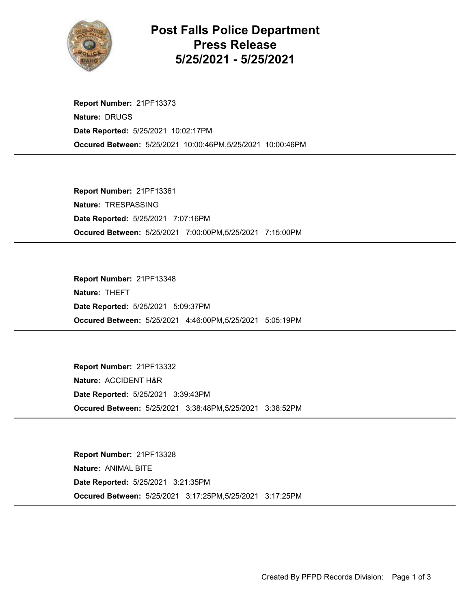

## Post Falls Police Department Press Release 5/25/2021 - 5/25/2021

Occured Between: 5/25/2021 10:00:46PM,5/25/2021 10:00:46PM Report Number: 21PF13373 Nature: DRUGS Date Reported: 5/25/2021 10:02:17PM

Occured Between: 5/25/2021 7:00:00PM,5/25/2021 7:15:00PM Report Number: 21PF13361 Nature: TRESPASSING Date Reported: 5/25/2021 7:07:16PM

Occured Between: 5/25/2021 4:46:00PM,5/25/2021 5:05:19PM Report Number: 21PF13348 Nature: THEFT Date Reported: 5/25/2021 5:09:37PM

Occured Between: 5/25/2021 3:38:48PM,5/25/2021 3:38:52PM Report Number: 21PF13332 Nature: ACCIDENT H&R Date Reported: 5/25/2021 3:39:43PM

Occured Between: 5/25/2021 3:17:25PM,5/25/2021 3:17:25PM Report Number: 21PF13328 Nature: ANIMAL BITE Date Reported: 5/25/2021 3:21:35PM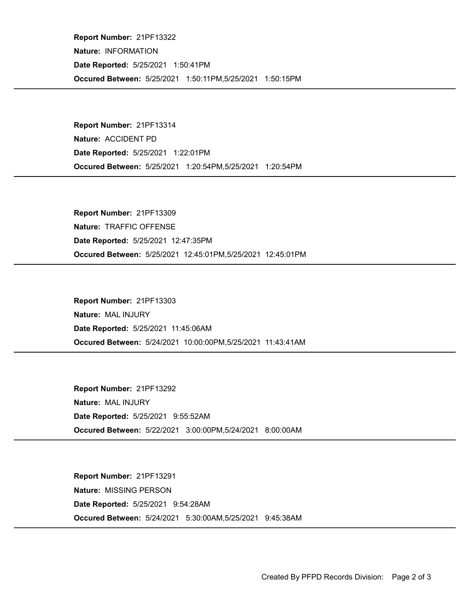Occured Between: 5/25/2021 1:50:11PM,5/25/2021 1:50:15PM Report Number: 21PF13322 Nature: INFORMATION Date Reported: 5/25/2021 1:50:41PM

Occured Between: 5/25/2021 1:20:54PM,5/25/2021 1:20:54PM Report Number: 21PF13314 Nature: ACCIDENT PD Date Reported: 5/25/2021 1:22:01PM

Occured Between: 5/25/2021 12:45:01PM,5/25/2021 12:45:01PM Report Number: 21PF13309 Nature: TRAFFIC OFFENSE Date Reported: 5/25/2021 12:47:35PM

Occured Between: 5/24/2021 10:00:00PM,5/25/2021 11:43:41AM Report Number: 21PF13303 Nature: MAL INJURY Date Reported: 5/25/2021 11:45:06AM

Occured Between: 5/22/2021 3:00:00PM,5/24/2021 8:00:00AM Report Number: 21PF13292 Nature: MAL INJURY Date Reported: 5/25/2021 9:55:52AM

Occured Between: 5/24/2021 5:30:00AM,5/25/2021 9:45:38AM Report Number: 21PF13291 Nature: MISSING PERSON Date Reported: 5/25/2021 9:54:28AM